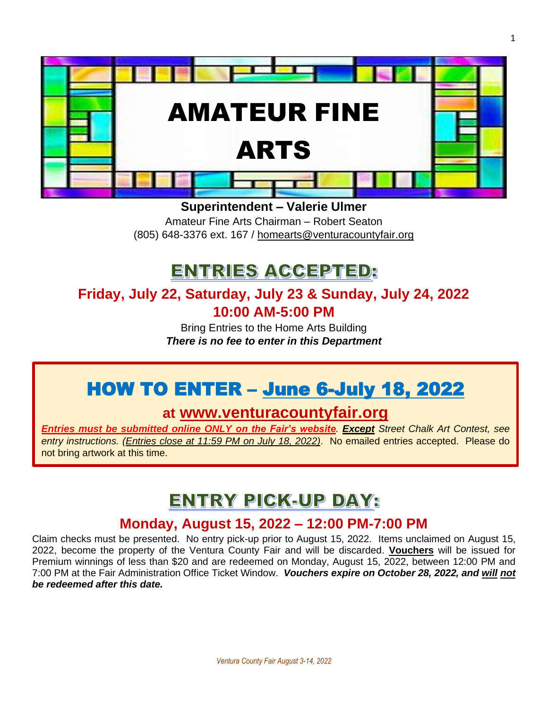

**Superintendent – Valerie Ulmer** Amateur Fine Arts Chairman – Robert Seaton (805) 648-3376 ext. 167 / [homearts@venturacountyfair.org](mailto:homearts@venturacountyfair.org)

# **ENTRIES ACCEPTED:**

## **Friday, July 22, Saturday, July 23 & Sunday, July 24, 2022 10:00 AM-5:00 PM**

Bring Entries to the Home Arts Building *There is no fee to enter in this Department*

# HOW TO ENTER – June 6-July 18, 2022

## **at [www.venturacountyfair.org](http://www.venturacountyfair.org/)**

*Entries must be submitted online ONLY on the Fair's website. Except Street Chalk Art Contest, see entry instructions. (Entries close at 11:59 PM on July 18, 2022)*. No emailed entries accepted. Please do not bring artwork at this time.

# ENTRY PICK-UP DAY:

## **Monday, August 15, 2022 – 12:00 PM-7:00 PM**

Claim checks must be presented. No entry pick-up prior to August 15, 2022. Items unclaimed on August 15, 2022, become the property of the Ventura County Fair and will be discarded. **Vouchers** will be issued for Premium winnings of less than \$20 and are redeemed on Monday, August 15, 2022, between 12:00 PM and 7:00 PM at the Fair Administration Office Ticket Window. *Vouchers expire on October 28, 2022, and will not be redeemed after this date.*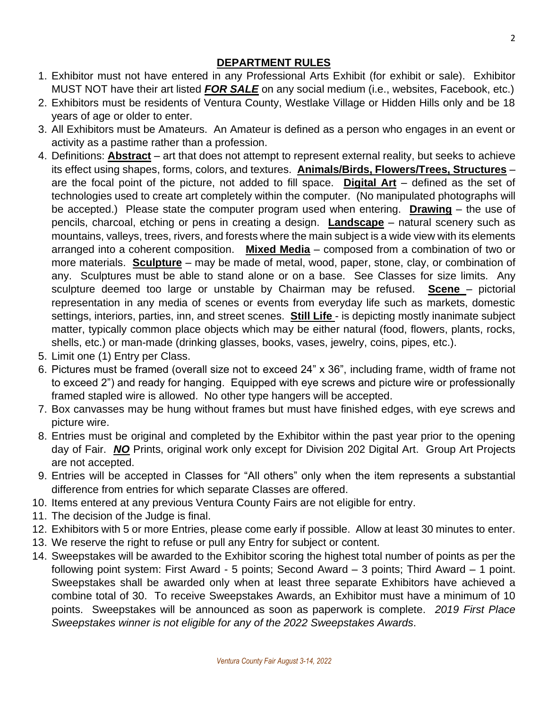### **DEPARTMENT RULES**

- 1. Exhibitor must not have entered in any Professional Arts Exhibit (for exhibit or sale). Exhibitor MUST NOT have their art listed *FOR SALE* on any social medium (i.e., websites, Facebook, etc.)
- 2. Exhibitors must be residents of Ventura County, Westlake Village or Hidden Hills only and be 18 years of age or older to enter.
- 3. All Exhibitors must be Amateurs. An Amateur is defined as a person who engages in an event or activity as a pastime rather than a profession.
- 4. Definitions: **Abstract** art that does not attempt to represent external reality, but seeks to achieve its effect using shapes, forms, colors, and textures. **Animals/Birds, Flowers/Trees, Structures** – are the focal point of the picture, not added to fill space. **Digital Art** – defined as the set of technologies used to create art completely within the computer. (No manipulated photographs will be accepted.) Please state the computer program used when entering. **Drawing** – the use of pencils, charcoal, etching or pens in creating a design. **Landscape** – natural scenery such as mountains, valleys, trees, rivers, and forests where the main subject is a wide view with its elements arranged into a coherent composition. **Mixed Media** – composed from a combination of two or more materials. **Sculpture** – may be made of metal, wood, paper, stone, clay, or combination of any. Sculptures must be able to stand alone or on a base. See Classes for size limits. Any sculpture deemed too large or unstable by Chairman may be refused. **Scene** – pictorial representation in any media of scenes or events from everyday life such as markets, domestic settings, interiors, parties, inn, and street scenes. **Still Life** - is depicting mostly inanimate subject matter, typically common place objects which may be either natural (food, flowers, plants, rocks, shells, etc.) or man-made (drinking glasses, books, vases, jewelry, coins, pipes, etc.).
- 5. Limit one (1) Entry per Class.
- 6. Pictures must be framed (overall size not to exceed 24" x 36", including frame, width of frame not to exceed 2") and ready for hanging. Equipped with eye screws and picture wire or professionally framed stapled wire is allowed. No other type hangers will be accepted.
- 7. Box canvasses may be hung without frames but must have finished edges, with eye screws and picture wire.
- 8. Entries must be original and completed by the Exhibitor within the past year prior to the opening day of Fair. *NO* Prints, original work only except for Division 202 Digital Art. Group Art Projects are not accepted.
- 9. Entries will be accepted in Classes for "All others" only when the item represents a substantial difference from entries for which separate Classes are offered.
- 10. Items entered at any previous Ventura County Fairs are not eligible for entry.
- 11. The decision of the Judge is final.
- 12. Exhibitors with 5 or more Entries, please come early if possible. Allow at least 30 minutes to enter.
- 13. We reserve the right to refuse or pull any Entry for subject or content.
- 14. Sweepstakes will be awarded to the Exhibitor scoring the highest total number of points as per the following point system: First Award - 5 points; Second Award – 3 points; Third Award – 1 point. Sweepstakes shall be awarded only when at least three separate Exhibitors have achieved a combine total of 30. To receive Sweepstakes Awards, an Exhibitor must have a minimum of 10 points. Sweepstakes will be announced as soon as paperwork is complete. *2019 First Place Sweepstakes winner is not eligible for any of the 2022 Sweepstakes Awards*.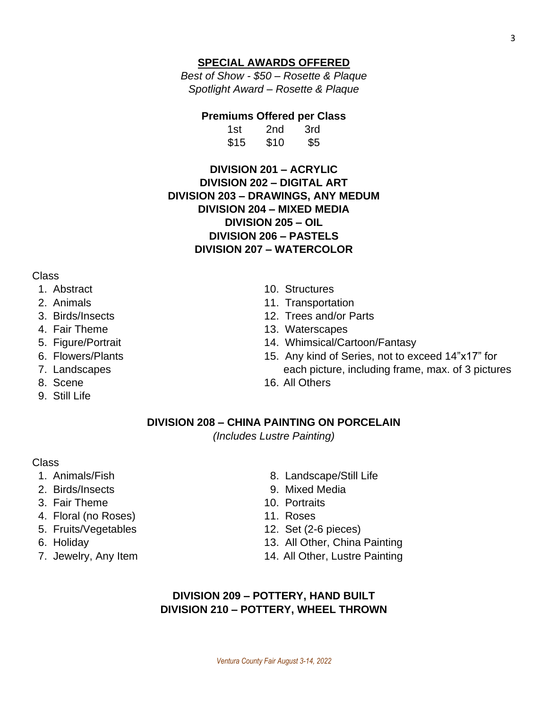#### **SPECIAL AWARDS OFFERED**

*Best of Show - \$50 – Rosette & Plaque Spotlight Award – Rosette & Plaque*

#### **Premiums Offered per Class**

1st 2nd 3rd \$15 \$10 \$5

**DIVISION 201 – ACRYLIC DIVISION 202 – DIGITAL ART DIVISION 203 – DRAWINGS, ANY MEDUM DIVISION 204 – MIXED MEDIA DIVISION 205 – OIL DIVISION 206 – PASTELS DIVISION 207 – WATERCOLOR**

#### Class

- 
- 
- 
- 
- 
- 
- 
- 
- 9. Still Life
- 1. Abstract 10. Structures
- 2. Animals 11. Transportation
- 3. Birds/Insects 12. Trees and/or Parts
- 4. Fair Theme 13. Waterscapes
- 5. Figure/Portrait 14. Whimsical/Cartoon/Fantasy
- 6. Flowers/Plants 15. Any kind of Series, not to exceed 14"x17" for 7. Landscapes each picture, including frame, max. of 3 pictures
- 8. Scene 16. All Others

#### **DIVISION 208 – CHINA PAINTING ON PORCELAIN**

*(Includes Lustre Painting)*

#### Class

- 
- 2. Birds/Insects 9. Mixed Media
- 3. Fair Theme 10. Portraits
- 4. Floral (no Roses) 11. Roses
- 
- 
- 
- 1. Animals/Fish 8. Landscape/Still Life
	-
	-
	-
- 5. Fruits/Vegetables 12. Set (2-6 pieces)
- 6. Holiday 13. All Other, China Painting
- 7. Jewelry, Any Item 14. All Other, Lustre Painting

#### **DIVISION 209 – POTTERY, HAND BUILT DIVISION 210 – POTTERY, WHEEL THROWN**